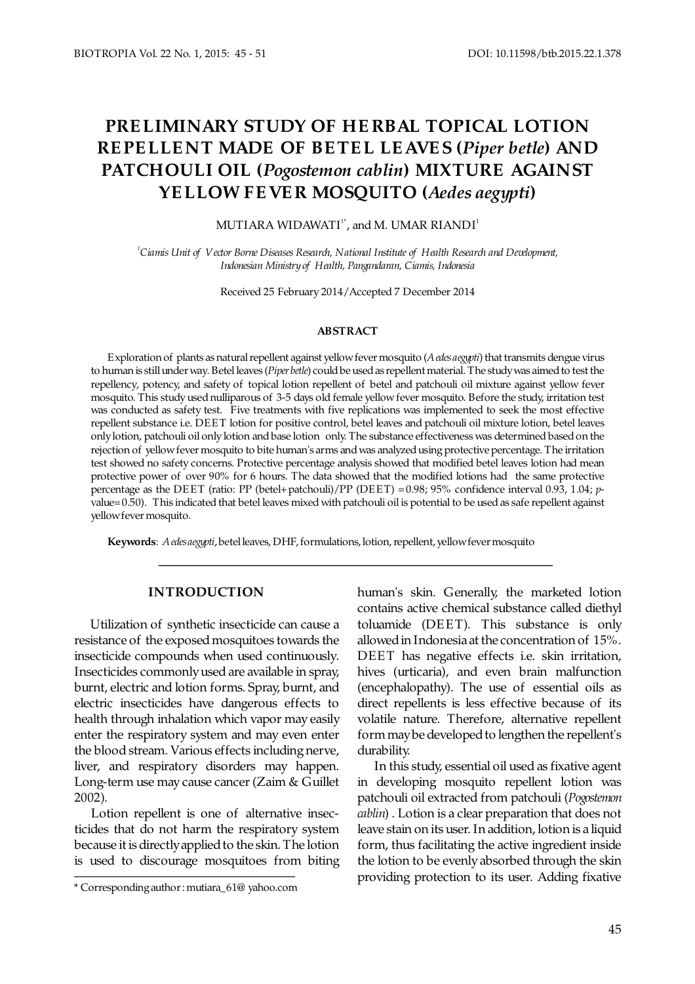# **PRE LIMINARY STUDY OF HE RBAL TOPICAL LOTION REPELLENT MADE OF BETEL LEAVES (Piper betle) AND PATCHOULI OIL (Pogostemon cablin) MIXTURE AGAINST** YE LLOW FE VE R MOSQUITO (Aedes aegypti)

MUTIARA WIDAWATI $1^*$ , and M. UMAR RIANDI $1^*$ 

*1 Ciamis Unit of Vector Borne Diseases Research, National Institute of Health Research and Development, Indonesian inistry of Health M , Pangandaran, Ciamis, Indonesia*

Received 25 February 2014/Accepted 7 December 2014

#### **ABSTRACT**

Exploration of plants as natural repellent against yellow fever mosquito (A edes aegypti) that transmits dengue virus to human is still under way. Betel leaves (*Piper betle*) could be used as repellent material. The study was aimed to test the repellency, potency, and safety of topical lotion repellent of betel and patchouli oil mixture against yellow fever mosquito. This study used nulliparous of 3-5 days old female yellow fever mosquito. Before the study, irritation test was conducted as safety test. Five treatments with five replications was implemented to seek the most effective repellent substance i.e. DEET lotion for positive control, betel leaves and patchouli oil mixture lotion, betel leaves only lotion, patchouli oil only lotion and base lotion only. The substance effectiveness was determined based on the rejection of yellow fever mosquito to bite human's arms and was analyzed using protective percentage. The irritation test showed no safety concerns. Protective percentage analysis showed that modified betel leaves lotion had mean protective power of over 90% for 6 hours. The data showed that the modified lotions had the same protective percentage as the DEET (ratio: PP (betel+patchouli)/PP (DEET) =0.98; 95% confidence interval 0.93, 1.04; pvalue=0.50). This indicated that betel leaves mixed with patchouli oil is potential to be used as safe repellent against yellow fever mosquito.

**Keywords**: *Aedes aegypti*, betel leaves, DHF, formulations, lotion, repellent, yellow fever mosquito

## **INTRODUCTION**

 Utilization of synthetic insecticide can cause a resistance of the exposed mosquitoes towards the insecticide compounds when used continuously. Insecticides commonly used are available in spray, burnt, electric and lotion forms. Spray, burnt, and electric insecticides have dangerous effects to health through inhalation which vapor may easily enter the respiratory system and may even enter the blood stream. Various effects including nerve, liver, and respiratory disorders may happen. Long-term use may cause cancer (Zaim & Guillet 2002).

 Lotion repellent is one of alternative insecticides that do not harm the respiratory system because it is directly applied to the skin. The lotion is used to discourage mosquitoes from biting human's skin. Generally, the marketed lotion contains active chemical substance called diethyl toluamide (DEET). This substance is only allowed in Indonesia at the concentration of 15%. DEET has negative effects i.e. skin irritation, hives (urticaria), and even brain malfunction (encephalopathy). The use of essential oils as direct repellents is less effective because of its volatile nature. Therefore, alternative repellent form may be developed to lengthen the repellent's durability.

 In this study, essential oil used as fixative agent in developing mosquito repellent lotion was patchouli oil extracted from patchouli (*Pogostemon cablin*) . Lotion is a clear preparation that does not leave stain on its user. In addition, lotion is a liquid form, thus facilitating the active ingredient inside the lotion to be evenly absorbed through the skin providing protection to its user. Adding fixative

<sup>\*</sup> Corresponding author : [mutiara\\_61@ yahoo.com](mailto:mutiara_61@yahoo.com)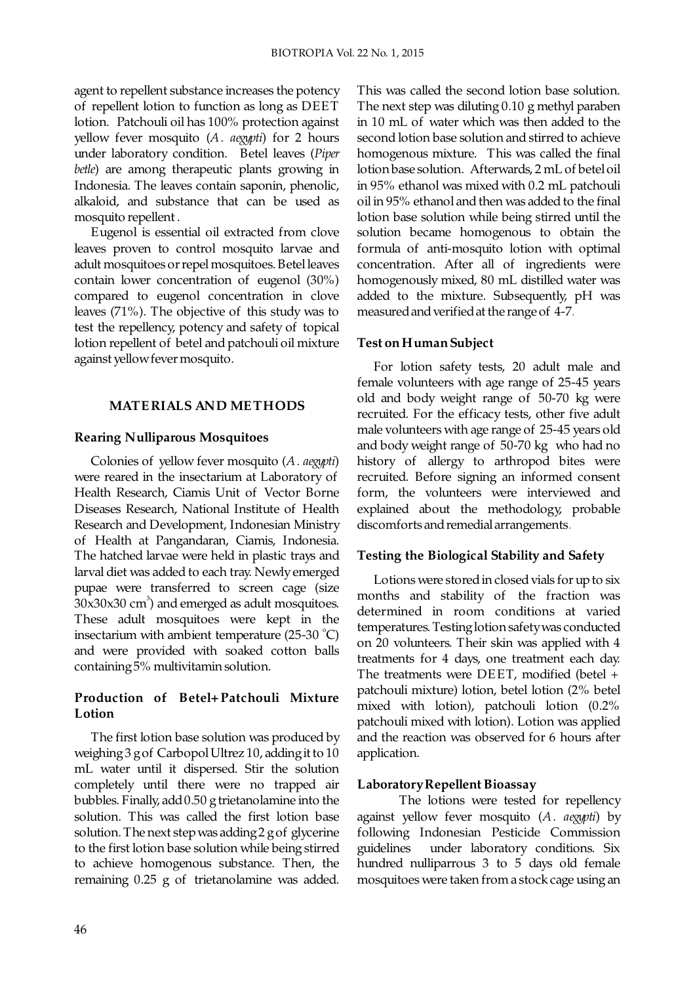agent to repellent substance increases the potency of repellent lotion to function as long as DEET lotion. Patchouli oil has 100% protection against yellow fever mosquito (A. *aegypti*) for 2 hours under laboratory condition. Betel leaves (Piper *betle*) are among therapeutic plants growing in Indonesia. The leaves contain saponin, phenolic, alkaloid, and substance that can be used as mosquito repellent .

 Eugenol is essential oil extracted from clove leaves proven to control mosquito larvae and adult mosquitoes or repel mosquitoes. Betel leaves contain lower concentration of eugenol (30%) compared to eugenol concentration in clove leaves (71%). The objective of this study was to test the repellency, potency and safety of topical lotion repellent of betel and patchouli oil mixture against yellow fever mosquito.

## **MATE RIALS AND ME THODS**

## **Rearing Nulliparous Mosquitoes**

Colonies of yellow fever mosquito (A. aegypti) were reared in the insectarium at Laboratory of Health Research, Ciamis Unit of Vector Borne Diseases Research, National Institute of Health Research and Development, Indonesian Ministry of Health at Pangandaran, Ciamis, Indonesia. The hatched larvae were held in plastic trays and larval diet was added to each tray. Newly emerged pupae were transferred to screen cage (size  $30x30x30$  cm<sup>3</sup>) and emerged as adult mosquitoes. These adult mosquitoes were kept in the insectarium with ambient temperature  $(25-30 \degree C)$ and were provided with soaked cotton balls containing 5% multivitamin solution.

# **Production of Betel+ Patchouli Mixture Lotion**

 The first lotion base solution was produced by weighing 3 g of Carbopol Ultrez 10, adding it to 10 mL water until it dispersed. Stir the solution completely until there were no trapped air bubbles. Finally, add  $0.50$  g trietanolamine into the solution. This was called the first lotion base solution. The next step was adding 2 g of glycerine to the first lotion base solution while being stirred to achieve homogenous substance. Then, the remaining  $0.25$  g of trietanolamine was added.

This was called the second lotion base solution. The next step was diluting  $0.10$  g methyl paraben in 10 mL of water which was then added to the second lotion base solution and stirred to achieve homogenous mixture. This was called the final lotion base solution. Afterwards, 2 mL of betel oil in 95% ethanol was mixed with 0.2 mL patchouli oil in 95% ethanol and then was added to the final lotion base solution while being stirred until the solution became homogenous to obtain the formula of anti-mosquito lotion with optimal concentration. After all of ingredients were homogenously mixed, 80 mL distilled water was added to the mixture. Subsequently, pH was measured and verified at the range of 4-7.

# **Test on Human Subject**

For lotion safety tests, 20 adult male and female volunteers with age range of 25-45 years old and body weight range of 50-70 kg were recruited. For the efficacy tests, other five adult male volunteers with age range of 25-45 years old and body weight range of 50-70 kg who had no history of allergy to arthropod bites were recruited. Before signing an informed consent form, the volunteers were interviewed and explained about the methodology, probable discomforts and remedial arrangements.

## **Testing the Biological Stability and Safety**

Lotions were stored in closed vials for up to six months and stability of the fraction was determined in room conditions at varied temperatures. Testing lotion safety was conducted on 20 volunteers. Their skin was applied with 4 treatments for 4 days, one treatment each day. The treatments were DEET, modified (betel + patchouli mixture) lotion, betel lotion (2% betel mixed with lotion), patchouli lotion (0.2% patchouli mixed with lotion). Lotion was applied and the reaction was observed for 6 hours after application.

## **Laboratory Repellent Bioassay**

 The lotions were tested for repellency against yellow fever mosquito (A. aegypti) by following Indonesian Pesticide Commission guidelines under laboratory conditions. Six hundred nulliparrous  $3$  to  $5$  days old female mosquitoes were taken from a stock cage using an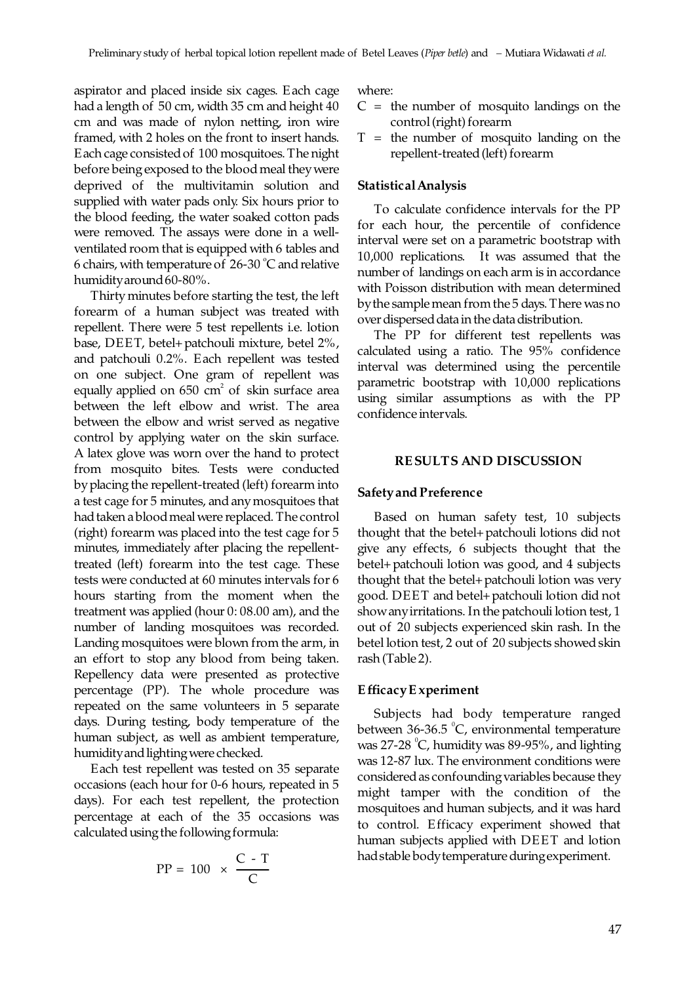aspirator and placed inside six cages. Each cage had a length of 50 cm, width 35 cm and height 40 cm and was made of nylon netting, iron wire framed, with 2 holes on the front to insert hands. Each cage consisted of 100 mosquitoes. The night before being exposed to the blood meal they were deprived of the multivitamin solution and supplied with water pads only. Six hours prior to the blood feeding, the water soaked cotton pads were removed. The assays were done in a wellventilated room that is equipped with 6 tables and 6 chairs, with temperature of  $26-30$  °C and relative humidity around 60-80%.

 Thirty minutes before starting the test, the left forearm of a human subject was treated with repellent. There were 5 test repellents i.e. lotion base, DEET, betel+ patchouli mixture, betel 2%, and patchouli 0.2%. Each repellent was tested on one subject. One gram of repellent was equally applied on  $650 \text{ cm}^2$  of skin surface area between the left elbow and wrist. The area between the elbow and wrist served as negative control by applying water on the skin surface. A latex glove was worn over the hand to protect from mosquito bites. Tests were conducted by placing the repellent-treated (left) forearm into a test cage for 5 minutes, and any mosquitoes that had taken a blood meal were replaced. The control (right) forearm was placed into the test cage for 5 minutes, immediately after placing the repellenttreated (left) forearm into the test cage. These tests were conducted at 60 minutes intervals for 6 hours starting from the moment when the treatment was applied (hour  $0: 08.00$  am), and the number of landing mosquitoes was recorded. Landing mosquitoes were blown from the arm, in an effort to stop any blood from being taken. Repellency data were presented as protective percentage (PP). The whole procedure was repeated on the same volunteers in 5 separate days. During testing, body temperature of the human subject, as well as ambient temperature, humidity and lighting were checked.

 Each test repellent was tested on 35 separate occasions (each hour for 0-6 hours, repeated in 5 days). For each test repellent, the protection percentage at each of the 35 occasions was calculated using the following formula:

$$
PP = 100 \times \frac{C - T}{C}
$$

where:

- $C =$  the number of mosquito landings on the control (right) forearm
- $T =$  the number of mosquito landing on the repellent-treated (left) forearm

#### **Statistical Analysis**

To calculate confidence intervals for the PP for each hour, the percentile of confidence interval were set on a parametric bootstrap with 10,000 replications. It was assumed that the number of landings on each arm is in accordance with Poisson distribution with mean determined by the sample mean from the 5 days. There was no over dispersed data in the data distribution.

 The PP for different test repellents was calculated using a ratio. The 95% confidence interval was determined using the percentile parametric bootstrap with 10,000 replications using similar assumptions as with the PP confidence intervals.

#### **RE SULTS AND DISCUSSION**

#### **Safety and Preference**

Based on human safety test, 10 subjects thought that the betel+patchouli lotions did not give any effects, 6 subjects thought that the betel+ patchouli lotion was good, and 4 subjects thought that the betel+patchouli lotion was very good. DEET and betel+patchouli lotion did not show any irritations. In the patchouli lotion test, 1 out of 20 subjects experienced skin rash. In the betel lotion test, 2 out of 20 subjects showed skin rash (Table 2).

#### **E fficacy E xperiment**

Subjects had body temperature ranged between  $36-36.5$  °C, environmental temperature was  $27-28$  °C, humidity was  $89-95$ %, and lighting was 12-87 lux. The environment conditions were considered as confounding variables because they might tamper with the condition of the mosquitoes and human subjects, and it was hard to control. Efficacy experiment showed that human subjects applied with DEET and lotion had stable body temperature during experiment.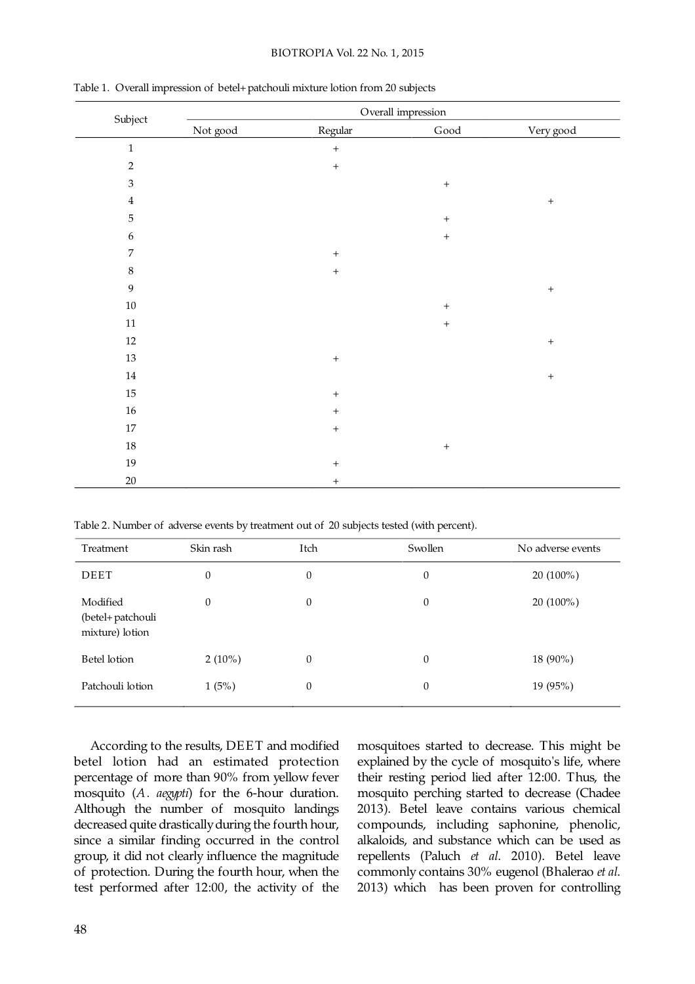#### BIOTROPIA Vol. 22 No. 1, 2015

| Subject                     | Overall impression |                  |                       |                  |  |
|-----------------------------|--------------------|------------------|-----------------------|------------------|--|
|                             | Not good           | Regular          | $\operatorname{Good}$ | Very good        |  |
| $\,1\,$                     |                    | $\boldsymbol{+}$ |                       |                  |  |
| $\sqrt{2}$                  |                    | $\ddot{}$        |                       |                  |  |
| $\ensuremath{\mathfrak{Z}}$ |                    |                  | $\boldsymbol{+}$      |                  |  |
| $\bf 4$                     |                    |                  |                       | $\boldsymbol{+}$ |  |
| $\mathbf 5$                 |                    |                  | $\boldsymbol{+}$      |                  |  |
| $\boldsymbol{6}$            |                    |                  | $\boldsymbol{+}$      |                  |  |
| $\overline{7}$              |                    | $\boldsymbol{+}$ |                       |                  |  |
| $\,8\,$                     |                    | $\boldsymbol{+}$ |                       |                  |  |
| 9                           |                    |                  |                       | $\boldsymbol{+}$ |  |
| $10\,$                      |                    |                  | $\boldsymbol{+}$      |                  |  |
| $11\,$                      |                    |                  | $\boldsymbol{+}$      |                  |  |
| $12\,$                      |                    |                  |                       | $\boldsymbol{+}$ |  |
| $13\,$                      |                    | $\boldsymbol{+}$ |                       |                  |  |
| $14\,$                      |                    |                  |                       | $\boldsymbol{+}$ |  |
| $15\,$                      |                    | $\boldsymbol{+}$ |                       |                  |  |
| $16\,$                      |                    | $\boldsymbol{+}$ |                       |                  |  |
| $17\,$                      |                    | $\boldsymbol{+}$ |                       |                  |  |
| $18\,$                      |                    |                  | $\boldsymbol{+}$      |                  |  |
| 19                          |                    | $\boldsymbol{+}$ |                       |                  |  |
| $20\,$                      |                    | $+$              |                       |                  |  |

Table 1. Overall impression of betel+patchouli mixture lotion from 20 subjects

Table 2. Number of adverse events by treatment out of 20 subjects tested (with percent).

| Treatment                                        | Skin rash | Itch         | Swollen          | No adverse events |
|--------------------------------------------------|-----------|--------------|------------------|-------------------|
| DEET                                             | 0         | 0            | $\boldsymbol{0}$ | $20(100\%)$       |
| Modified<br>(betel+ patchouli<br>mixture) lotion | 0         | $\mathbf{0}$ | $\mathbf{0}$     | 20 (100%)         |
| Betel lotion                                     | $2(10\%)$ | 0            | $\boldsymbol{0}$ | 18 (90%)          |
| Patchouli lotion                                 | 1(5%)     | 0            | $\boldsymbol{0}$ | 19 (95%)          |

 According to the results, DEET and modified betel lotion had an estimated protection percentage of more than 90% from yellow fever mosquito (A. aegypti) for the 6-hour duration. Although the number of mosquito landings decreased quite drastically during the fourth hour, since a similar finding occurred in the control group, it did not clearly influence the magnitude of protection. During the fourth hour, when the test performed after 12:00, the activity of the

mosquitoes started to decrease. This might be explained by the cycle of mosquito's life, where their resting period lied after 12:00. Thus, the mosquito perching started to decrease (Chadee 2013). Betel leave contains various chemical compounds, including saphonine, phenolic, alkaloids, and substance which can be used as repellents (Paluch et al. 2010). Betel leave commonly contains 30% eugenol (Bhalerao et al. 2013) which has been proven for controlling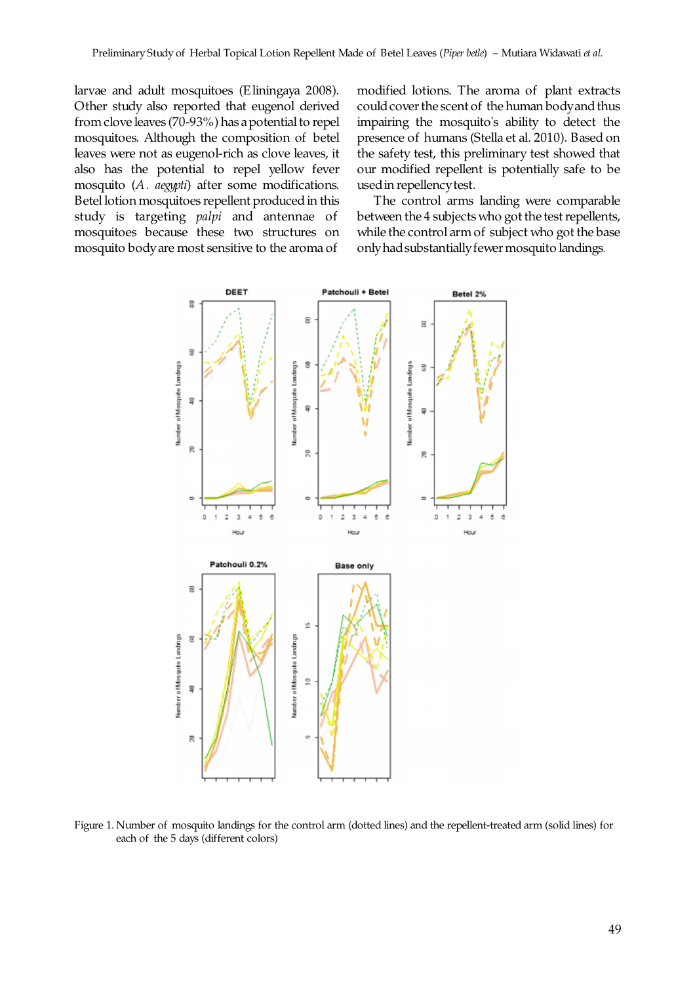larvae and adult mosquitoes (Eliningaya 2008). Other study also reported that eugenol derived from clove leaves (70-93%) has a potential to repel mosquitoes. Although the composition of betel leaves were not as eugenol-rich as clove leaves, it also has the potential to repel yellow fever mosquito (A. aegypti) after some modifications. Betel lotion mosquitoes repellent produced in this study is targeting *palpi* and antennae of mosquitoes because these two structures on mosquito body are most sensitive to the aroma of

modified lotions. The aroma of plant extracts could cover the scent of the human body and thus impairing the mosquito's ability to detect the presence of humans (Stella et al. 2010). Based on the safety test, this preliminary test showed that our modified repellent is potentially safe to be used in repellency test.

The control arms landing were comparable between the 4 subjects who got the test repellents, while the control arm of subject who got the base only had substantially fewer mosquito landings.



Figure 1. Number of mosquito landings for the control arm (dotted lines) and the repellent-treated arm (solid lines) for each of the 5 days (different colors)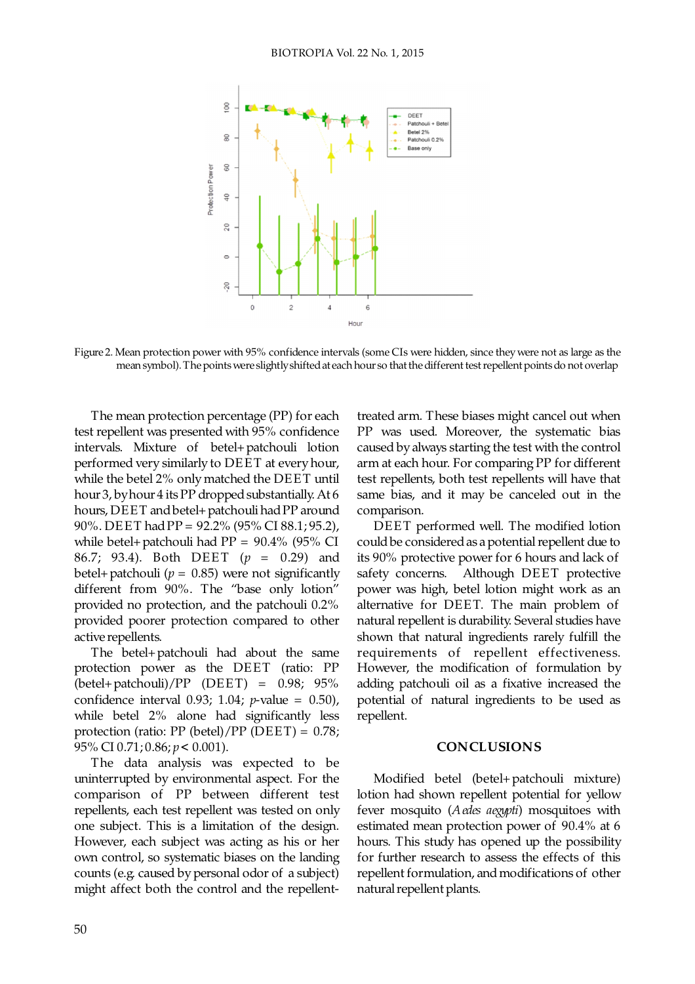

Figure 2. Mean protection power with 95% confidence intervals (some CIs were hidden, since they were not as large as the mean symbol). The points were slightly shifted at each hour so that the different test repellent points do not overlap

 The mean protection percentage (PP) for each test repellent was presented with 95% confidence intervals. Mixture of betel+ patchouli lotion performed very similarly to DEET at every hour, while the betel 2% only matched the DEET until hour 3, by hour 4 its PP dropped substantially. At 6 hours, DEET and betel+ patchouli had PP around 90%. DEET had PP = 92.2% (95% CI 88.1; 95.2), while betel+ patchouli had PP = 90.4% (95% CI 86.7; 93.4). Both DEET ( $p = 0.29$ ) and betel+ patchouli ( $p = 0.85$ ) were not significantly different from 90%. The "base only lotion" provided no protection, and the patchouli 0.2% provided poorer protection compared to other active repellents.

 The betel+patchouli had about the same protection power as the DEET (ratio: PP (betel+patchouli)/PP (DEET) = 0.98; 95% confidence interval 0.93; 1.04;  $p$ -value = 0.50), while betel 2% alone had significantly less protection (ratio: PP (betel)/PP (DEET) = 0.78; 95% CI 0.71;  $0.86$ ;  $p < 0.001$ ).

The data analysis was expected to be uninterrupted by environmental aspect. For the comparison of PP between different test repellents, each test repellent was tested on only one subject. This is a limitation of the design. However, each subject was acting as his or her own control, so systematic biases on the landing counts (e.g. caused by personal odor of a subject) might affect both the control and the repellenttreated arm. These biases might cancel out when PP was used. Moreover, the systematic bias caused by always starting the test with the control arm at each hour. For comparing PP for different test repellents, both test repellents will have that same bias, and it may be canceled out in the comparison.

DEET performed well. The modified lotion could be considered as a potential repellent due to its 90% protective power for 6 hours and lack of safety concerns. Although DEET protective power was high, betel lotion might work as an alternative for DEET. The main problem of natural repellent is durability. Several studies have shown that natural ingredients rarely fulfill the requirements of repellent effectiveness. However, the modification of formulation by adding patchouli oil as a fixative increased the potential of natural ingredients to be used as repellent.

## **CONCLUSIONS**

 Modified betel (betel+ patchouli mixture) lotion had shown repellent potential for yellow fever mosquito (Aedes aegypti) mosquitoes with estimated mean protection power of 90.4% at 6 hours. This study has opened up the possibility for further research to assess the effects of this repellent formulation, and modifications of other natural repellent plants.